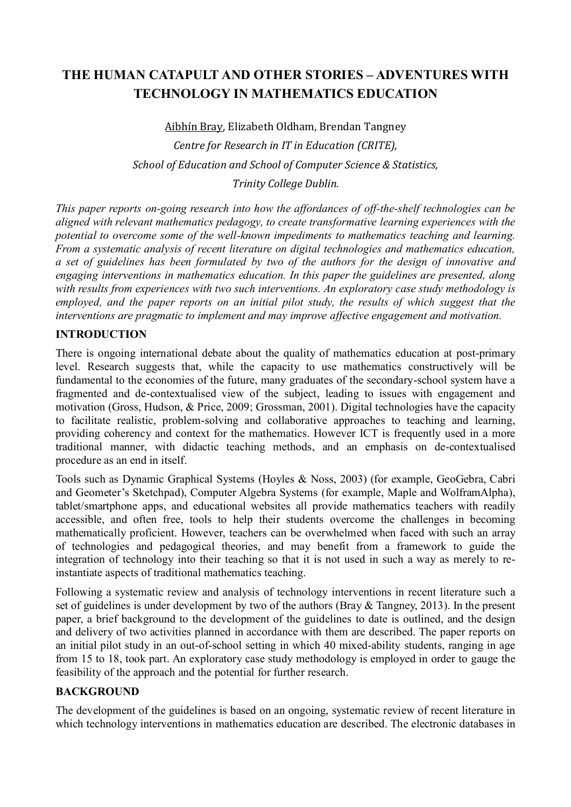# THE HUMAN CATAPULT AND OTHER STORIES – ADVENTURES WITH TECHNOLOGY IN MATHEMATICS EDUCATION

Aibhín Bray, Elizabeth Oldham, Brendan Tangney Centre for Research in IT in Education (CRITE), School of Education and School of Computer Science & Statistics,

Trinity College Dublin.

This paper reports on-going research into how the affordances of off-the-shelf technologies can be aligned with relevant mathematics pedagogy, to create transformative learning experiences with the potential to overcome some of the well-known impediments to mathematics teaching and learning. From a systematic analysis of recent literature on digital technologies and mathematics education, a set of guidelines has been formulated by two of the authors for the design of innovative and engaging interventions in mathematics education. In this paper the guidelines are presented, along with results from experiences with two such interventions. An exploratory case study methodology is employed, and the paper reports on an initial pilot study, the results of which suggest that the interventions are pragmatic to implement and may improve affective engagement and motivation.

## INTRODUCTION

There is ongoing international debate about the quality of mathematics education at post-primary level. Research suggests that, while the capacity to use mathematics constructively will be fundamental to the economies of the future, many graduates of the secondary-school system have a fragmented and de-contextualised view of the subject, leading to issues with engagement and motivation (Gross, Hudson, & Price, 2009; Grossman, 2001). Digital technologies have the capacity to facilitate realistic, problem-solving and collaborative approaches to teaching and learning, providing coherency and context for the mathematics. However ICT is frequently used in a more traditional manner, with didactic teaching methods, and an emphasis on de-contextualised procedure as an end in itself.

Tools such as Dynamic Graphical Systems (Hoyles & Noss, 2003) (for example, GeoGebra, Cabri and Geometer's Sketchpad), Computer Algebra Systems (for example, Maple and WolframAlpha), tablet/smartphone apps, and educational websites all provide mathematics teachers with readily accessible, and often free, tools to help their students overcome the challenges in becoming mathematically proficient. However, teachers can be overwhelmed when faced with such an array of technologies and pedagogical theories, and may benefit from a framework to guide the integration of technology into their teaching so that it is not used in such a way as merely to reinstantiate aspects of traditional mathematics teaching.

Following a systematic review and analysis of technology interventions in recent literature such a set of guidelines is under development by two of the authors (Bray & Tangney, 2013). In the present paper, a brief background to the development of the guidelines to date is outlined, and the design and delivery of two activities planned in accordance with them are described. The paper reports on an initial pilot study in an out-of-school setting in which 40 mixed-ability students, ranging in age from 15 to 18, took part. An exploratory case study methodology is employed in order to gauge the feasibility of the approach and the potential for further research.

## **BACKGROUND**

The development of the guidelines is based on an ongoing, systematic review of recent literature in which technology interventions in mathematics education are described. The electronic databases in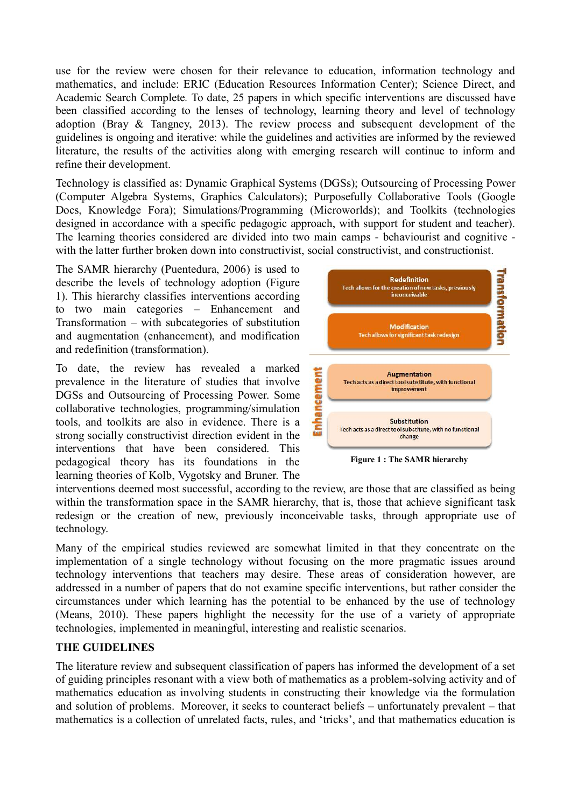use for the review were chosen for their relevance to education, information technology and mathematics, and include: ERIC (Education Resources Information Center); Science Direct, and Academic Search Complete. To date, 25 papers in which specific interventions are discussed have been classified according to the lenses of technology, learning theory and level of technology adoption (Bray & Tangney, 2013). The review process and subsequent development of the guidelines is ongoing and iterative: while the guidelines and activities are informed by the reviewed literature, the results of the activities along with emerging research will continue to inform and refine their development.

Technology is classified as: Dynamic Graphical Systems (DGSs); Outsourcing of Processing Power (Computer Algebra Systems, Graphics Calculators); Purposefully Collaborative Tools (Google Docs, Knowledge Fora); Simulations/Programming (Microworlds); and Toolkits (technologies designed in accordance with a specific pedagogic approach, with support for student and teacher). The learning theories considered are divided into two main camps - behaviourist and cognitive with the latter further broken down into constructivist, social constructivist, and constructionist.

The SAMR hierarchy (Puentedura, 2006) is used to describe the levels of technology adoption (Figure Redefinition Redefinition Redefinition 1). This hierarchy classifies interventions according to two main categories – Enhancement and Transformation – with subcategories of substitution and augmentation (enhancement), and modification and redefinition (transformation).

To date, the review has revealed a marked<br>prevalence in the literature of studies that involve<br>DGSs and Outsourcing of Processing Power. Some<br>collaborative technologies, programming/simulation<br>tools, and toolkits are also prevalence in the literature of studies that involve **Depended and involve of the inner** rechacts as a direct toolsubstitute, with functional DGSs and Outsourcing of Processing Power. Some collaborative technologies, programming/simulation tools, and toolkits are also in evidence. There is a **record of the set of the Substitution** strong socially constructivist direction evident in the interventions that have been considered. This pedagogical theory has its foundations in the learning theories of Kolb, Vygotsky and Bruner. The



Figure 1 : The SAMR hierarchy

interventions deemed most successful, according to the review, are those that are classified as being within the transformation space in the SAMR hierarchy, that is, those that achieve significant task redesign or the creation of new, previously inconceivable tasks, through appropriate use of technology.

Many of the empirical studies reviewed are somewhat limited in that they concentrate on the implementation of a single technology without focusing on the more pragmatic issues around technology interventions that teachers may desire. These areas of consideration however, are addressed in a number of papers that do not examine specific interventions, but rather consider the circumstances under which learning has the potential to be enhanced by the use of technology (Means, 2010). These papers highlight the necessity for the use of a variety of appropriate technologies, implemented in meaningful, interesting and realistic scenarios.

## THE GUIDELINES

The literature review and subsequent classification of papers has informed the development of a set of guiding principles resonant with a view both of mathematics as a problem-solving activity and of mathematics education as involving students in constructing their knowledge via the formulation and solution of problems. Moreover, it seeks to counteract beliefs – unfortunately prevalent – that mathematics is a collection of unrelated facts, rules, and 'tricks', and that mathematics education is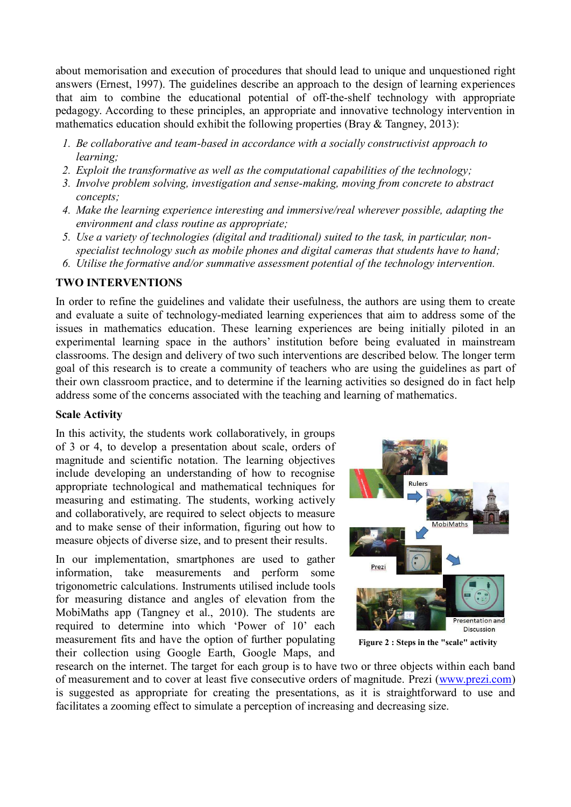about memorisation and execution of procedures that should lead to unique and unquestioned right answers (Ernest, 1997). The guidelines describe an approach to the design of learning experiences that aim to combine the educational potential of off-the-shelf technology with appropriate pedagogy. According to these principles, an appropriate and innovative technology intervention in mathematics education should exhibit the following properties (Bray & Tangney, 2013):

- 1. Be collaborative and team-based in accordance with a socially constructivist approach to learning;
- 2. Exploit the transformative as well as the computational capabilities of the technology;
- 3. Involve problem solving, investigation and sense-making, moving from concrete to abstract concepts;
- 4. Make the learning experience interesting and immersive/real wherever possible, adapting the environment and class routine as appropriate;
- 5. Use a variety of technologies (digital and traditional) suited to the task, in particular, nonspecialist technology such as mobile phones and digital cameras that students have to hand;
- 6. Utilise the formative and/or summative assessment potential of the technology intervention.

## TWO INTERVENTIONS

In order to refine the guidelines and validate their usefulness, the authors are using them to create and evaluate a suite of technology-mediated learning experiences that aim to address some of the issues in mathematics education. These learning experiences are being initially piloted in an experimental learning space in the authors' institution before being evaluated in mainstream classrooms. The design and delivery of two such interventions are described below. The longer term goal of this research is to create a community of teachers who are using the guidelines as part of their own classroom practice, and to determine if the learning activities so designed do in fact help address some of the concerns associated with the teaching and learning of mathematics.

## Scale Activity

In this activity, the students work collaboratively, in groups of 3 or 4, to develop a presentation about scale, orders of magnitude and scientific notation. The learning objectives include developing an understanding of how to recognise appropriate technological and mathematical techniques for measuring and estimating. The students, working actively and collaboratively, are required to select objects to measure and to make sense of their information, figuring out how to measure objects of diverse size, and to present their results.

In our implementation, smartphones are used to gather information, take measurements and perform some trigonometric calculations. Instruments utilised include tools for measuring distance and angles of elevation from the MobiMaths app (Tangney et al., 2010). The students are required to determine into which 'Power of 10' each measurement fits and have the option of further populating their collection using Google Earth, Google Maps, and



Figure 2 : Steps in the "scale" activity

research on the internet. The target for each group is to have two or three objects within each band of measurement and to cover at least five consecutive orders of magnitude. Prezi (www.prezi.com) is suggested as appropriate for creating the presentations, as it is straightforward to use and facilitates a zooming effect to simulate a perception of increasing and decreasing size.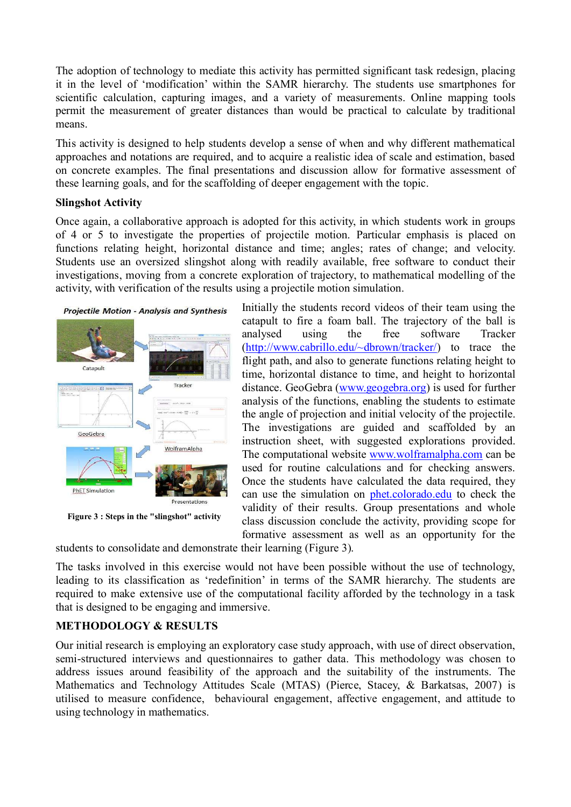The adoption of technology to mediate this activity has permitted significant task redesign, placing it in the level of 'modification' within the SAMR hierarchy. The students use smartphones for scientific calculation, capturing images, and a variety of measurements. Online mapping tools permit the measurement of greater distances than would be practical to calculate by traditional means.

This activity is designed to help students develop a sense of when and why different mathematical approaches and notations are required, and to acquire a realistic idea of scale and estimation, based on concrete examples. The final presentations and discussion allow for formative assessment of these learning goals, and for the scaffolding of deeper engagement with the topic.

#### Slingshot Activity

Once again, a collaborative approach is adopted for this activity, in which students work in groups of 4 or 5 to investigate the properties of projectile motion. Particular emphasis is placed on functions relating height, horizontal distance and time; angles; rates of change; and velocity. Students use an oversized slingshot along with readily available, free software to conduct their investigations, moving from a concrete exploration of trajectory, to mathematical modelling of the activity, with verification of the results using a projectile motion simulation.





Figure 3 : Steps in the "slingshot" activity

Initially the students record videos of their team using the catapult to fire a foam ball. The trajectory of the ball is analysed using the free software Tracker (http://www.cabrillo.edu/~dbrown/tracker/) to trace the flight path, and also to generate functions relating height to time, horizontal distance to time, and height to horizontal distance. GeoGebra (www.geogebra.org) is used for further analysis of the functions, enabling the students to estimate the angle of projection and initial velocity of the projectile. The investigations are guided and scaffolded by an instruction sheet, with suggested explorations provided. The computational website www.wolframalpha.com can be used for routine calculations and for checking answers. Once the students have calculated the data required, they can use the simulation on phet.colorado.edu to check the validity of their results. Group presentations and whole class discussion conclude the activity, providing scope for formative assessment as well as an opportunity for the

students to consolidate and demonstrate their learning (Figure 3).

The tasks involved in this exercise would not have been possible without the use of technology, leading to its classification as 'redefinition' in terms of the SAMR hierarchy. The students are required to make extensive use of the computational facility afforded by the technology in a task that is designed to be engaging and immersive.

## METHODOLOGY & RESULTS

Our initial research is employing an exploratory case study approach, with use of direct observation, semi-structured interviews and questionnaires to gather data. This methodology was chosen to address issues around feasibility of the approach and the suitability of the instruments. The Mathematics and Technology Attitudes Scale (MTAS) (Pierce, Stacey, & Barkatsas, 2007) is utilised to measure confidence, behavioural engagement, affective engagement, and attitude to using technology in mathematics.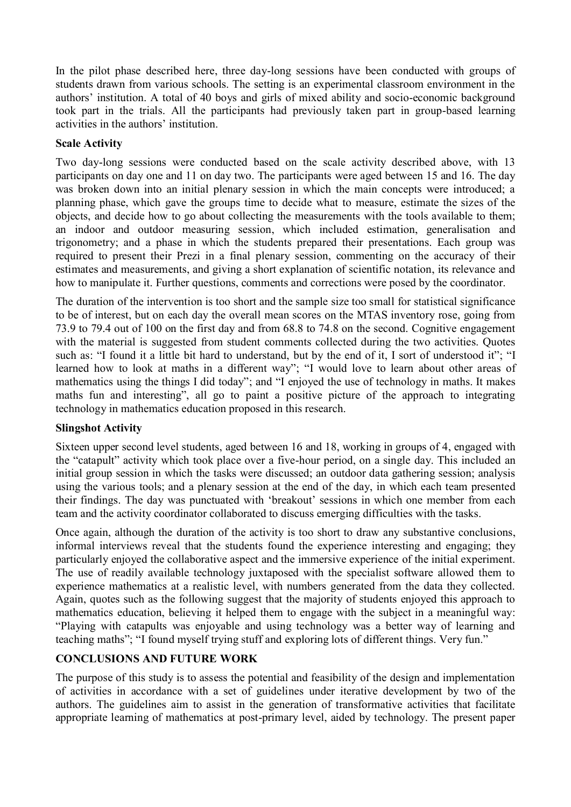In the pilot phase described here, three day-long sessions have been conducted with groups of students drawn from various schools. The setting is an experimental classroom environment in the authors' institution. A total of 40 boys and girls of mixed ability and socio-economic background took part in the trials. All the participants had previously taken part in group-based learning activities in the authors' institution.

### Scale Activity

Two day-long sessions were conducted based on the scale activity described above, with 13 participants on day one and 11 on day two. The participants were aged between 15 and 16. The day was broken down into an initial plenary session in which the main concepts were introduced; a planning phase, which gave the groups time to decide what to measure, estimate the sizes of the objects, and decide how to go about collecting the measurements with the tools available to them; an indoor and outdoor measuring session, which included estimation, generalisation and trigonometry; and a phase in which the students prepared their presentations. Each group was required to present their Prezi in a final plenary session, commenting on the accuracy of their estimates and measurements, and giving a short explanation of scientific notation, its relevance and how to manipulate it. Further questions, comments and corrections were posed by the coordinator.

The duration of the intervention is too short and the sample size too small for statistical significance to be of interest, but on each day the overall mean scores on the MTAS inventory rose, going from 73.9 to 79.4 out of 100 on the first day and from 68.8 to 74.8 on the second. Cognitive engagement with the material is suggested from student comments collected during the two activities. Quotes such as: "I found it a little bit hard to understand, but by the end of it, I sort of understood it"; "I learned how to look at maths in a different way"; "I would love to learn about other areas of mathematics using the things I did today"; and "I enjoyed the use of technology in maths. It makes maths fun and interesting", all go to paint a positive picture of the approach to integrating technology in mathematics education proposed in this research.

## Slingshot Activity

Sixteen upper second level students, aged between 16 and 18, working in groups of 4, engaged with the "catapult" activity which took place over a five-hour period, on a single day. This included an initial group session in which the tasks were discussed; an outdoor data gathering session; analysis using the various tools; and a plenary session at the end of the day, in which each team presented their findings. The day was punctuated with 'breakout' sessions in which one member from each team and the activity coordinator collaborated to discuss emerging difficulties with the tasks.

Once again, although the duration of the activity is too short to draw any substantive conclusions, informal interviews reveal that the students found the experience interesting and engaging; they particularly enjoyed the collaborative aspect and the immersive experience of the initial experiment. The use of readily available technology juxtaposed with the specialist software allowed them to experience mathematics at a realistic level, with numbers generated from the data they collected. Again, quotes such as the following suggest that the majority of students enjoyed this approach to mathematics education, believing it helped them to engage with the subject in a meaningful way: "Playing with catapults was enjoyable and using technology was a better way of learning and teaching maths"; "I found myself trying stuff and exploring lots of different things. Very fun."

## CONCLUSIONS AND FUTURE WORK

The purpose of this study is to assess the potential and feasibility of the design and implementation of activities in accordance with a set of guidelines under iterative development by two of the authors. The guidelines aim to assist in the generation of transformative activities that facilitate appropriate learning of mathematics at post-primary level, aided by technology. The present paper